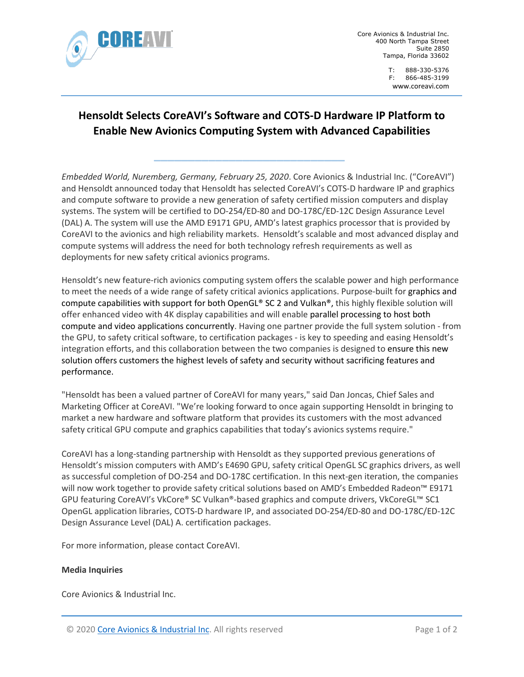

Core Avionics & Industrial Inc. 400 North Tampa Street Suite 2850 Tampa, Florida 33602

> T: 888-330-5376 F: 866-485-3199 [www.co](http://www.ch1group.com/)reavi.com

## **Hensoldt Selects CoreAVI's Software and COTS-D Hardware IP Platform to Enable New Avionics Computing System with Advanced Capabilities**

**\_\_\_\_\_\_\_\_\_\_\_\_\_\_\_\_\_\_\_\_\_\_\_\_\_\_\_\_**

*Embedded World, Nuremberg, Germany, February 25, 2020*. Core Avionics & Industrial Inc. ("CoreAVI") and Hensoldt announced today that Hensoldt has selected CoreAVI's COTS-D hardware IP and graphics and compute software to provide a new generation of safety certified mission computers and display systems. The system will be certified to DO-254/ED-80 and DO-178C/ED-12C Design Assurance Level (DAL) A. The system will use the AMD E9171 GPU, AMD's latest graphics processor that is provided by CoreAVI to the avionics and high reliability markets. Hensoldt's scalable and most advanced display and compute systems will address the need for both technology refresh requirements as well as deployments for new safety critical avionics programs.

Hensoldt's new feature-rich avionics computing system offers the scalable power and high performance to meet the needs of a wide range of safety critical avionics applications. Purpose-built for graphics and compute capabilities with support for both OpenGL® SC 2 and Vulkan®, this highly flexible solution will offer enhanced video with 4K display capabilities and will enable parallel processing to host both compute and video applications concurrently. Having one partner provide the full system solution - from the GPU, to safety critical software, to certification packages - is key to speeding and easing Hensoldt's integration efforts, and this collaboration between the two companies is designed to ensure this new solution offers customers the highest levels of safety and security without sacrificing features and performance.

"Hensoldt has been a valued partner of CoreAVI for many years," said Dan Joncas, Chief Sales and Marketing Officer at CoreAVI. "We're looking forward to once again supporting Hensoldt in bringing to market a new hardware and software platform that provides its customers with the most advanced safety critical GPU compute and graphics capabilities that today's avionics systems require."

CoreAVI has a long-standing partnership with Hensoldt as they supported previous generations of Hensoldt's mission computers with AMD's E4690 GPU, safety critical OpenGL SC graphics drivers, as well as successful completion of DO-254 and DO-178C certification. In this next-gen iteration, the companies will now work together to provide safety critical solutions based on AMD's Embedded Radeon™ E9171 GPU featuring CoreAVI's VkCore® SC Vulkan®-based graphics and compute drivers, VkCoreGL™ SC1 OpenGL application libraries, COTS-D hardware IP, and associated DO-254/ED-80 and DO-178C/ED-12C Design Assurance Level (DAL) A. certification packages.

For more information, please contact CoreAVI.

## **Media Inquiries**

Core Avionics & Industrial Inc.

© 2020 [Core Avionics & Industrial Inc.](http://www.coreavi.com/) All rights reserved Page 1 of 2